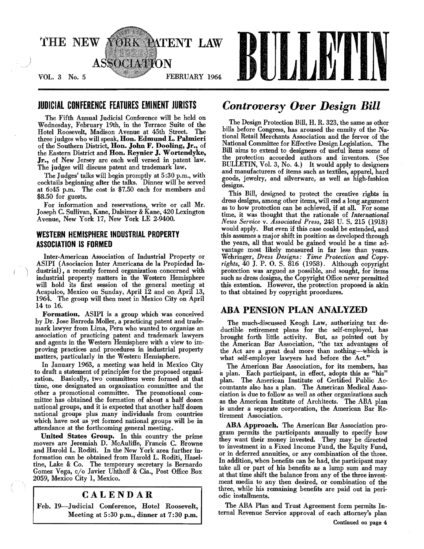

The Fifth Annual Judicial Conference will be held on Wednesday, February 19th, in the Terrace Suite of the Hotel Roosevelt, Madison Avenue at 45th Street. The three judges who will speak, Hon. Edmund L. Palmieri of the Southern District, Hon. John F. Dooling, Jr., of the Eastern District and Hon. Reynier J. Wortendyke, Jr., of New Jersey are each well versed in patent law. The judges will discuss patent and trademark law.

The Judges' talks will begin promptly at 5 :30 p.m., with cocktails beginning after the talks. Dinner will be served at 6:45 p.m. The cost is \$7.50 each for members and \$8.50 for guests.

For information and reservations, write or call Mr. Joseph C. Sullivan, Kane, Dalsimer & Kane, 420 Lexington Avenue, New York 17, New York LE 2-9400.

# WESTERN HEMISPHERE INDUSTRIAL PROPERTY ASSOCIATION IS FORMED

Inter-American Association of Industrial Property or ASIPI (Asociacion Inter Americana de la Propiedad Industrial), a recently formed organization concerned with industrial property matters in the Western Hemisphere will hold its first session of the general meeting at Acapulco, Mexico on Sunday, April 12 and on April 13, 1964. The group will then meet in Mexico City on April 14 to 16.

Formation. ASIPI is a group which was conceived by Dr. Jose Barreda Moller, a practicing patent and trademark lawyer from Lima, Peru who wanted to organize an association of practicing patent and trademark lawyers and agents in the Western Hemisphere with a view to improving practices and procedures in industrial property matters, particularly in the Western Hemisphere.

In January 1963, a meeting was held in Mexico City to draft a statement of principles for the proposed organization. Basically, two committees were formed at that time, one designated an organization committee and the other a promotional committee. The promotional committee has obtained the formation of about a half dozen national groups, and it is expected that another half dozen national groups plus many individuals from countries which have not as yet formed national groups will be in attendance at the forthcoming general meeting.

United States Group. In this country the prime movers are Jeremiah D. McAuliffe, Francis C. Browne and Harold L. Roditi. In the New York area further information can be obtained from Harold L. Roditi, Haseltine, Lake & Co. The temporary secretary is Bernardo Gomez Vega, c/o Javier Uhthoff & Cia., Post Office Box 2059, Mexico City 1, Mexico.

# CALENDAR

Feb. 19--1udicial Conference, Hotel Roosevelt, Meeting at 5:30 p.m., dinner at 7:30 p.m.

# JUDICIAL CONFERENCE FEATURES EMINENT JURISTS *Controversy Over Design Bill*

The Design Protection Bill, H. R. 323, the same as other bills before Congress, has aroused the enmity of the National Retail Merchants Association and the fervor of the National Committee for Effective Design Legislation. The Bill aims to extend to designers of useful items some of the protection accorded authors and inventors. (See BULLETIN, Vol. 3, No.4.) It would apply to designers and manufacturers of items such as textiles, apparel, hard goods, jewelry, and silverware, as well as high.fashion designs.

This Bill, designed to protect the creative rights in dress designs, among other items, will end a long argument as to how protection can be achieved, if at all. For some time, it was thought that the rationale of *International News Service* v. *Associated Press,* 248 U. S. 215 (1918) would apply. But even if this case could be extended, and this assumes a major shift in position as developed through the years, all that would be gained would be a time ad· vantage most likely measured in far less than years. Wehringer, *Dress Designs: Time Protection and Copy. rights,* 40 J. P. O. S. 816 (1958). Although copyright protection was argued as possible, and sought, for items such as dress designs, the Copyright Office never permitted this extention. However, the protection proposed is akin to that obtained by copyright procedures.

# ABA PENSION PLAN ANALYZED

The much·discussed Keogh Law, authorizing tax de· ductible retirement plans for the self-employed, has brought forth little activity. But, as pointed out by the American Bar Association, "the tax advantages of the Act are a great deal more than nothing-which is what self-employer lawyers had before the Act,"

The American Bar Association, for its members, has a plan. Each participant, in effect, adopts this as "his" plan. The American Institute of Certified Public Accountants also has a plan. The American Medical Association is due to follow as well as other organizations such as the American Institute of Architects. The ABA plan is under a separate corporation, the American Bar Re· tirement Association.

ABA Approach. The American Bar Association pro· gram permits the participants annually to specify how they want their money invested. They may be directed to investment in a Fixed Income Fund, the Equity Fund, or in deferred annuities, or any combination of the three. In addition, when benefits can be had, the participant may take all or part of his benefits as a lump sum and may at that time shift the balance from any of the three investment media to any then desired, or combination of the three, while his remaining benefits are paid out in peri· odic installments.

The ABA Plan and Trust Agreement form permits In· ternal Revenue Service approval of each attorney's plan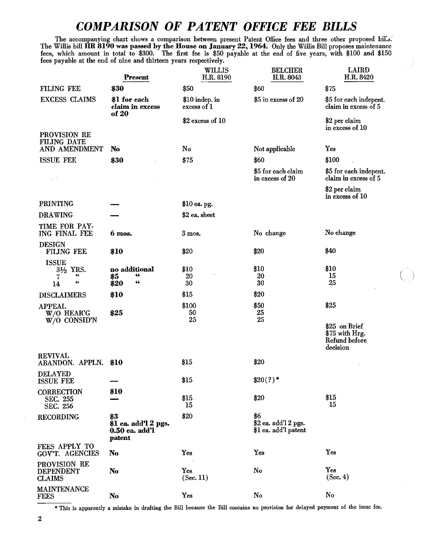# *COMPARISON OF PATENT OFFICE FEE BILLS*

The accompanying chart shows a comparison between present Patent Office fees and three other proposed bil... The Willis bill HR 8190 was passed by the House on January 22, 1964. Only the Willis Bill proposes maintenance fees, which amount in total to \$300. The first fee is \$50 payable at the end of five years, with \$100 and \$150 fees payable at the end of nine and thirteen years respectively.

|                                                       | Present                                                   | WILLIS<br>H.R. 8190           | <b>BELCHER</b><br>H.R. 8043                         | <b>LAIRD</b><br>H.R. 8420                      |
|-------------------------------------------------------|-----------------------------------------------------------|-------------------------------|-----------------------------------------------------|------------------------------------------------|
| FILING FEE                                            | \$30                                                      | \$50                          | \$60                                                | \$75                                           |
| <b>EXCESS CLAIMS</b>                                  | \$1 for each<br>claim in excess<br>of 20                  | \$10 indep. in<br>excess of 1 | \$5 in excess of 20                                 | \$5 for each indepent.<br>claim in excess of 5 |
|                                                       |                                                           | $$2$ excess of 10             |                                                     | \$2 per claim<br>in excess of 10               |
| PROVISION RE<br>FILING DATE                           |                                                           | No                            |                                                     |                                                |
| AND AMENDMENT                                         | No                                                        |                               | Not applicable                                      | Yes                                            |
| <b>ISSUE FEE</b>                                      | \$30                                                      | \$75                          | \$60                                                | \$100                                          |
| $\sim 10^{-6}$                                        |                                                           |                               | \$5 for each claim<br>in excess of 20               | \$5 for each indepent.<br>claim in excess of 5 |
|                                                       |                                                           |                               |                                                     | \$2 per claim<br>in excess of 10               |
| <b>PRINTING</b>                                       |                                                           | \$10 ea. pg.                  |                                                     |                                                |
| <b>DRAWING</b>                                        |                                                           | \$2 ea. sheet                 |                                                     |                                                |
| TIME FOR PAY-<br>ING FINAL FEE                        | 6 mos.                                                    | $3$ mos.                      | No change                                           | No change                                      |
| <b>DESIGN</b><br>FILING FEE                           | \$10                                                      | \$20                          | \$20                                                | \$40                                           |
| <b>ISSUE</b><br>31/2 YRS.<br>66<br>7<br>$_{cc}$<br>14 | no additional<br>66<br>\$5<br>66<br>\$20                  | \$10<br>20<br>30              | \$10<br>20<br>30                                    | \$10<br>15<br>25                               |
| <b>DISCLAIMERS</b>                                    | \$10                                                      | \$15                          | \$20                                                |                                                |
| <b>APPEAL</b><br>W/O HEAR'G<br>$W/O$ CONSID'N         | \$25                                                      | \$100<br>50<br>25             | \$50<br>25<br>25                                    | \$25<br>\$25 on Brief<br>\$75 with Hrg.        |
|                                                       |                                                           |                               |                                                     | Refund before<br>decision                      |
| <b>REVIVAL</b><br>ABANDON. APPLN.                     | \$10                                                      | \$15                          | \$20                                                |                                                |
| <b>DELAYED</b><br><b>ISSUE FEE</b>                    |                                                           | \$15                          | $$20(?)$ *                                          |                                                |
| <b>CORRECTION</b><br>SEC. 255<br>SEC. 256             | \$10                                                      | \$15.<br>15                   | \$20                                                | \$15<br>15                                     |
| <b>RECORDING</b>                                      | \$3<br>\$1 ea. add'l 2 pgs.<br>$0.50$ ea. add'l<br>patent | \$20                          | \$6<br>\$2 ea. add'l 2 pgs.<br>\$1 ea. add'l patent |                                                |
| FEES APPLY TO<br>GOV'T. AGENCIES                      | No                                                        | Yes                           | Yes                                                 | Yes                                            |
| <b>PROVISION RE</b><br>DEPENDENT<br>CLAIMS            | No                                                        | Yes<br>(Sec. 11)              | No                                                  | Yes<br>(Sec. 4)                                |
| MAINTENANCE<br>FEES                                   | No                                                        | Yes                           | No                                                  | No                                             |

\* This is apparently a mistake in drafting the Bill because the Bill contains no provision for delayed payment of the issue fee.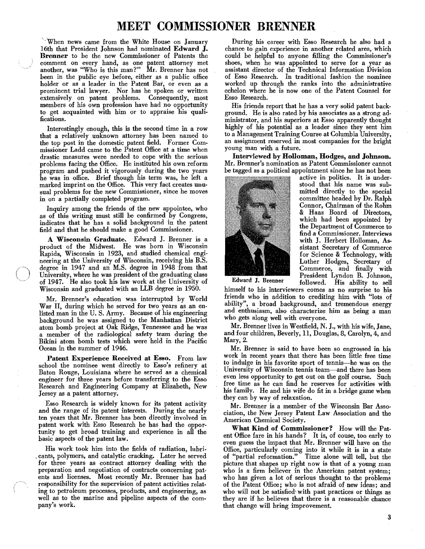# **MEET COMMISSIONER BRENNER**

'·'When news came from the White House on January 16th that President Johnson had nominated Edward J. Brenner to be the new Commissioner of Patents the comment on every hand, as one patent attorney met another, was "Who is this man?" Mr. Brenner has not been in the public eye before, either as a public office holder or as a leader in the Patent Bar, or even as a prominent trial lawyer. Nor has he spoken or written extensively on patent problems. Consequently, most members of his own profession have had no opportunity to get acquainted with him or to appraise his qualifications.

Interestingly enough, this is the second time in a row that a relatively unknown attorney has been named to the top post in the domestic patent field. Former Commissioner Ladd came to the Patent Office at a time when drastic measures were needed to cope with the serious problems facing the Office. He instituted his own reform program and pushed it vigorously during the two years he was in office. Brief though his term was, he left a marked imprint on the Office. This very fact creates unusual problems for the new Commissioner, since he moves in on a partially completed program.

Inquiry among the friends of the new appointee, who as of this writing must still be confirmed by Congress, indicates that he has a solid background in the patent field and that he should make a good Commissioner.

A Wisconsin Graduate. Edward J. Brenner is a product of the Midwest. He was born in Wisconsin Rapids, Wisconsin in 1923, and studied chemical engi. neering at the University of Wisconsin, receiving his B.S. degree in 1947 and an M.S. degree in 1948 from that University, where he was president of the graduating class of 1947. He also took his law work at the University of Wisconsin and graduated with an LLB degree in 1950.

Mr. Brenner's education was interrupted by World War II, during which he served for two years as an enlisted man in the U. S. Army. Because of his engineering background he was assigned to the Manhattan District atom bomb project at Oak Ridge, Tennessee and he was a member of the radiological safety team during the Bikini atom bomb tests which were held in the Pacific Ocean in the summer of 1946.

Patent Experience Received at Esso. From law school the nominee went directly to Esso's refinery at Baton Rouge, Louisiana where he served as a chemical engineer for three years before transferring to the Esso Research and Engineering Company at Elizabeth, New Jersey as a patent attorney.

Esso Research is widely known for its patent activity and the range of its patent interests. During the nearly ten years that Mr. Brenner has been directly involved in patent work with Esso Research he has had the opportunity to get broad training and experience in all the basic aspects of the patent law.

His work took him into the fields of radiation, lubri ,cants, polymers, and catalytic cracking. Later he served for three years as contract attorney dealing with the preparation and negotiation of contracts concerning patents and licenses. Most recently Mr. Brenner has had responsibility for the supervision of patent activities relating to petroleum processes, products, and engineering, as well as to the marine and pipeline aspects of the company's work.

During his career with Esso Research he also had a chance to gain experience in another related area, which could be helpful to anyone filling the Commissioner's shoes, when he was appointed to serve for a year as assistant director of the Technical Information Division of Esso Research. In traditional fashion the nominee worked up through the ranks into the administrative echelon where he is now one of the Patent Counsel for Esso Research.

His friends report that he has a very solid patent background. He is also rated by his associates as a strong administrator, and his superiors at Esso apparently thought highly of his potential as a leader since they sent him to a Management Training Course at Columbia Uni an assignment reserved in most companies for the young man with a future.

Interviewed hy Holloman, Hodges, and Johnson. Mr. Brenner's nomination as Patent Commissioner cannot be tagged as a political appointment since he has not been



active in politics. It is understood that his name was submitted directly to the special committee headed by Dr. Ralph Connor, Chairman of the Rohm & Haas Board of Directors, which had been appointed by the Department of Commerce to find a Commissioner. Interviews with J. Herbert Holloman, Assistant Secretary of Commerce for Science & Technology, with Luther Hodges, Secretary of Commerce, and finally with President Lyndon B. Johnson, Edward J. Brenner followed. His ability to sell

himself to his interviewers comes as no surprise to his friends who in addition to crediting him with "lots of ability", a broad background, and tremendous energy and enthusiasm, also characterize him as being a man who gets along well with everyone.

Mr. Brenner lives in Westfield, N. J., with his wife, Jane, and four children, Beverly, 11, Douglas, 8, Carolyn, 4, and Mary, 2.

Mr. Brenner is said to have been so engrossed in his work in recent years that there has been little free time to indulge in his favorite sport of tennis--he was on the University of Wisconsin tennis team-and there has been even less opportunity to get out on the golf course. Such free time as he can find he reserves for activities with his family. He and his wife do fit in a bridge game when they can by way of relaxation.

Mr. Brenner is a member of the Wisconsin Bar Association, the New Jersey Patent Law Association and the American Chemical Society.

What Kind of Commissioner? How will the Patent Office fare in his hands? It is, of couse, too early to even guess the impact that Mr. Brenner will have on the Office, particularly coming into it while it is in a state of "partial reformation." Time alone will tell, but the picture that shapes up right now is that of a young man who is a firm believer in the American patent system; who has given a lot of serious thought to the problems of the Patent Office; who is not afraid of new ideas; and who will not be satisfied' with past practices or things as they are if he believes that there is a reasonable chance that change will bring improvement.